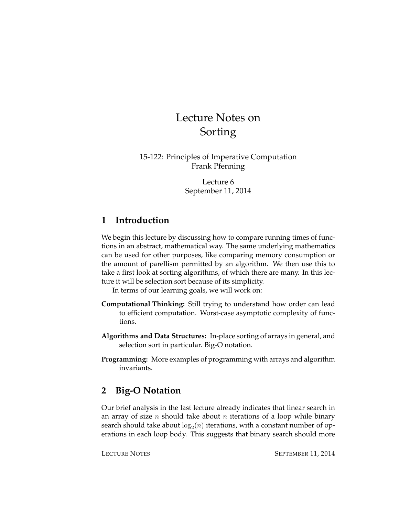# Lecture Notes on Sorting

15-122: Principles of Imperative Computation Frank Pfenning

> Lecture 6 September 11, 2014

## **1 Introduction**

We begin this lecture by discussing how to compare running times of functions in an abstract, mathematical way. The same underlying mathematics can be used for other purposes, like comparing memory consumption or the amount of parellism permitted by an algorithm. We then use this to take a first look at sorting algorithms, of which there are many. In this lecture it will be selection sort because of its simplicity.

In terms of our learning goals, we will work on:

- **Computational Thinking:** Still trying to understand how order can lead to efficient computation. Worst-case asymptotic complexity of functions.
- **Algorithms and Data Structures:** In-place sorting of arrays in general, and selection sort in particular. Big-O notation.
- **Programming:** More examples of programming with arrays and algorithm invariants.

## **2 Big-O Notation**

Our brief analysis in the last lecture already indicates that linear search in an array of size *n* should take about *n* iterations of a loop while binary search should take about  $\log_2(n)$  iterations, with a constant number of operations in each loop body. This suggests that binary search should more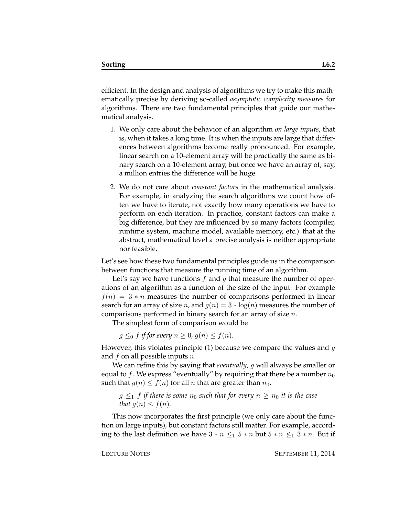efficient. In the design and analysis of algorithms we try to make this mathematically precise by deriving so-called *asymptotic complexity measures* for algorithms. There are two fundamental principles that guide our mathematical analysis.

- 1. We only care about the behavior of an algorithm *on large inputs*, that is, when it takes a long time. It is when the inputs are large that differences between algorithms become really pronounced. For example, linear search on a 10-element array will be practically the same as binary search on a 10-element array, but once we have an array of, say, a million entries the difference will be huge.
- 2. We do not care about *constant factors* in the mathematical analysis. For example, in analyzing the search algorithms we count how often we have to iterate, not exactly how many operations we have to perform on each iteration. In practice, constant factors can make a big difference, but they are influenced by so many factors (compiler, runtime system, machine model, available memory, etc.) that at the abstract, mathematical level a precise analysis is neither appropriate nor feasible.

Let's see how these two fundamental principles guide us in the comparison between functions that measure the running time of an algorithm.

Let's say we have functions  $f$  and  $g$  that measure the number of operations of an algorithm as a function of the size of the input. For example  $f(n) = 3 * n$  measures the number of comparisons performed in linear search for an array of size *n*, and  $g(n) = 3 * log(n)$  measures the number of comparisons performed in binary search for an array of size  $n$ .

The simplest form of comparison would be

 $g \leq_0 f$  *if for every*  $n \geq 0$ ,  $g(n) \leq f(n)$ *.* 

However, this violates principle (1) because we compare the values and  $g$ and  $f$  on all possible inputs  $n$ .

We can refine this by saying that *eventually*, g will always be smaller or equal to f. We express "eventually" by requiring that there be a number  $n_0$ such that  $g(n) \le f(n)$  for all n that are greater than  $n_0$ .

 $g \leq_1 f$  *if there is some*  $n_0$  *such that for every*  $n \geq n_0$  *it is the case that*  $g(n) \leq f(n)$ *.* 

This now incorporates the first principle (we only care about the function on large inputs), but constant factors still matter. For example, according to the last definition we have  $3 * n \leq 1$   $5 * n$  but  $5 * n \nleq 1$   $3 * n$ . But if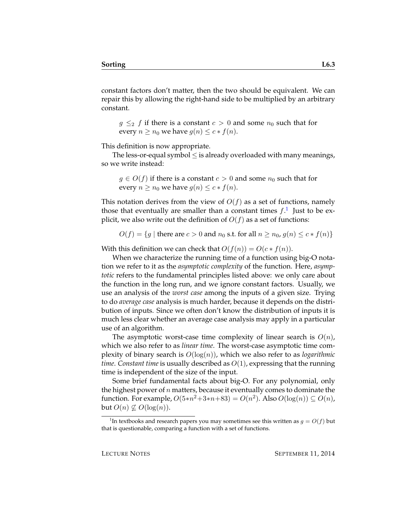constant factors don't matter, then the two should be equivalent. We can repair this by allowing the right-hand side to be multiplied by an arbitrary constant.

 $g \leq_2 f$  if there is a constant  $c > 0$  and some  $n_0$  such that for every  $n \geq n_0$  we have  $g(n) \leq c * f(n)$ .

This definition is now appropriate.

The less-or-equal symbol  $\leq$  is already overloaded with many meanings, so we write instead:

 $g \in O(f)$  if there is a constant  $c > 0$  and some  $n_0$  such that for every  $n \geq n_0$  we have  $g(n) \leq c * f(n)$ .

This notation derives from the view of  $O(f)$  as a set of functions, namely those that eventually are smaller than a constant times  $f$ .<sup>[1](#page-2-0)</sup> Just to be explicit, we also write out the definition of  $O(f)$  as a set of functions:

$$
O(f) = \{g \mid \text{there are } c > 0 \text{ and } n_0 \text{ s.t. for all } n \geq n_0, g(n) \leq c * f(n)\}
$$

With this definition we can check that  $O(f(n)) = O(c * f(n)).$ 

When we characterize the running time of a function using big-O notation we refer to it as the *asymptotic complexity* of the function. Here, *asymptotic* refers to the fundamental principles listed above: we only care about the function in the long run, and we ignore constant factors. Usually, we use an analysis of the *worst case* among the inputs of a given size. Trying to do *average case* analysis is much harder, because it depends on the distribution of inputs. Since we often don't know the distribution of inputs it is much less clear whether an average case analysis may apply in a particular use of an algorithm.

The asymptotic worst-case time complexity of linear search is  $O(n)$ , which we also refer to as *linear time*. The worst-case asymptotic time complexity of binary search is  $O(log(n))$ , which we also refer to as *logarithmic time*. *Constant time* is usually described as O(1), expressing that the running time is independent of the size of the input.

Some brief fundamental facts about big-O. For any polynomial, only the highest power of  $n$  matters, because it eventually comes to dominate the function. For example,  $O(5*n^2+3*n+83) = O(n^2)$ . Also  $O(\log(n)) \subseteq O(n)$ , but  $O(n) \nsubseteq O(\log(n))$ .

<span id="page-2-0"></span><sup>&</sup>lt;sup>1</sup>In textbooks and research papers you may sometimes see this written as  $g = O(f)$  but that is questionable, comparing a function with a set of functions.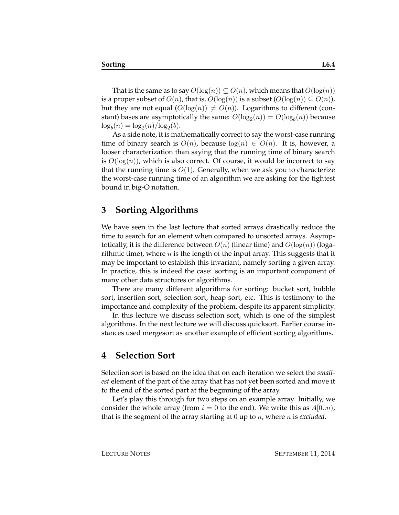That is the same as to say  $O(\log(n)) \subset O(n)$ , which means that  $O(\log(n))$ is a proper subset of  $O(n)$ , that is,  $O(log(n))$  is a subset  $(O(log(n)) \subseteq O(n)$ , but they are not equal  $(O(log(n)) \neq O(n))$ . Logarithms to different (constant) bases are asymptotically the same:  $O(\log_2(n)) = O(\log_b(n))$  because  $\log_b(n) = \log_2(n) / \log_2(b).$ 

As a side note, it is mathematically correct to say the worst-case running time of binary search is  $O(n)$ , because  $log(n) \in O(n)$ . It is, however, a looser characterization than saying that the running time of binary search is  $O(log(n))$ , which is also correct. Of course, it would be incorrect to say that the running time is  $O(1)$ . Generally, when we ask you to characterize the worst-case running time of an algorithm we are asking for the tightest bound in big-O notation.

#### **3 Sorting Algorithms**

We have seen in the last lecture that sorted arrays drastically reduce the time to search for an element when compared to unsorted arrays. Asymptotically, it is the difference between  $O(n)$  (linear time) and  $O(\log(n))$  (logarithmic time), where  $n$  is the length of the input array. This suggests that it may be important to establish this invariant, namely sorting a given array. In practice, this is indeed the case: sorting is an important component of many other data structures or algorithms.

There are many different algorithms for sorting: bucket sort, bubble sort, insertion sort, selection sort, heap sort, etc. This is testimony to the importance and complexity of the problem, despite its apparent simplicity.

In this lecture we discuss selection sort, which is one of the simplest algorithms. In the next lecture we will discuss quicksort. Earlier course instances used mergesort as another example of efficient sorting algorithms.

#### **4 Selection Sort**

Selection sort is based on the idea that on each iteration we select the *smallest* element of the part of the array that has not yet been sorted and move it to the end of the sorted part at the beginning of the array.

Let's play this through for two steps on an example array. Initially, we consider the whole array (from  $i = 0$  to the end). We write this as  $A[0..n)$ , that is the segment of the array starting at 0 up to n, where n is *excluded*.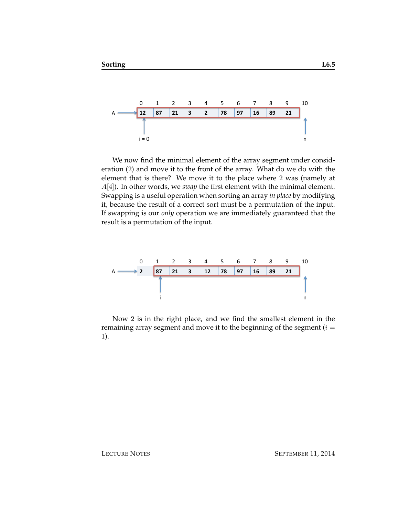

We now find the minimal element of the array segment under consideration (2) and move it to the front of the array. What do we do with the element that is there? We move it to the place where 2 was (namely at A[4]). In other words, we *swap* the first element with the minimal element. Swapping is a useful operation when sorting an array *in place* by modifying it, because the result of a correct sort must be a permutation of the input. If swapping is our *only* operation we are immediately guaranteed that the result is a permutation of the input.



Now 2 is in the right place, and we find the smallest element in the remaining array segment and move it to the beginning of the segment  $(i =$ 1).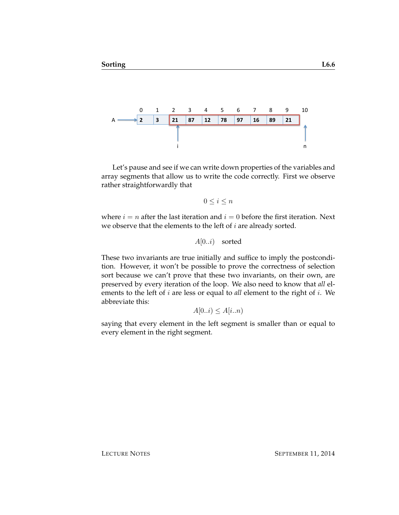

Let's pause and see if we can write down properties of the variables and array segments that allow us to write the code correctly. First we observe rather straightforwardly that

$$
0 \le i \le n
$$

where  $i = n$  after the last iteration and  $i = 0$  before the first iteration. Next we observe that the elements to the left of  $i$  are already sorted.

 $A[0..i)$  sorted

These two invariants are true initially and suffice to imply the postcondition. However, it won't be possible to prove the correctness of selection sort because we can't prove that these two invariants, on their own, are preserved by every iteration of the loop. We also need to know that *all* elements to the left of i are less or equal to *all* element to the right of i. We abbreviate this:

 $A[0..i) \leq A[i..n]$ 

saying that every element in the left segment is smaller than or equal to every element in the right segment.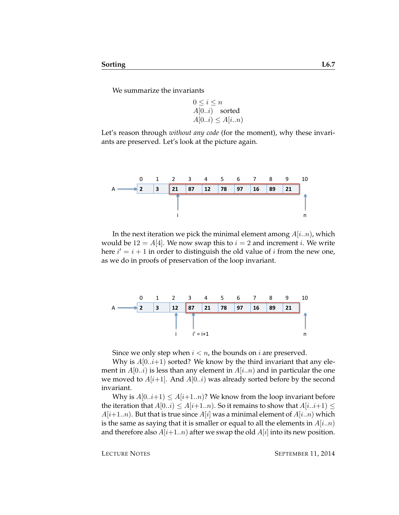We summarize the invariants

$$
0 \le i \le n
$$
  
A[0..i) sorted  
A[0..i) \le A[i..n)

Let's reason through *without any code* (for the moment), why these invariants are preserved. Let's look at the picture again.



In the next iteration we pick the minimal element among  $A[i..n]$ , which would be  $12 = A[4]$ . We now swap this to  $i = 2$  and increment i. We write here  $i' = i + 1$  in order to distinguish the old value of i from the new one, as we do in proofs of preservation of the loop invariant.



Since we only step when  $i < n$ , the bounds on i are preserved.

Why is  $A[0..i+1)$  sorted? We know by the third invariant that any element in  $A[0..i)$  is less than any element in  $A[i..n)$  and in particular the one we moved to  $A[i+1]$ . And  $A[0..i)$  was already sorted before by the second invariant.

Why is  $A[0..i+1) \leq A[i+1..n]$ ? We know from the loop invariant before the iteration that  $A[0..i) \leq A[i+1..n]$ . So it remains to show that  $A[i..i+1] \leq$  $A[i+1..n]$ . But that is true since  $A[i]$  was a minimal element of  $A[i..n]$  which is the same as saying that it is smaller or equal to all the elements in  $A[i..n]$ and therefore also  $A[i+1..n]$  after we swap the old  $A[i]$  into its new position.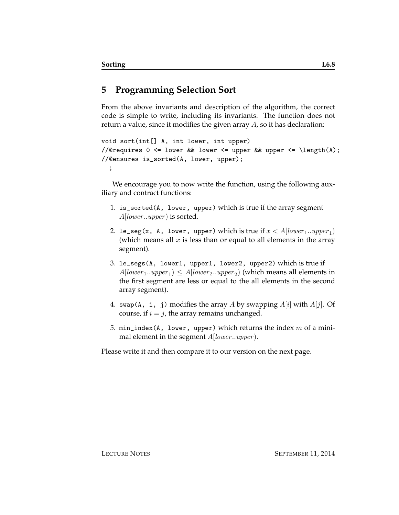## **5 Programming Selection Sort**

From the above invariants and description of the algorithm, the correct code is simple to write, including its invariants. The function does not return a value, since it modifies the given array A, so it has declaration:

```
void sort(int[] A, int lower, int upper)
//@requires 0 <= lower && lower <= upper && upper <= \length(A);
//@ensures is_sorted(A, lower, upper);
  ;
```
We encourage you to now write the function, using the following auxiliary and contract functions:

- 1. is\_sorted(A, lower, upper) which is true if the array segment  $A[lower..upper]$  is sorted.
- 2. le\_seg(x, A, lower, upper) which is true if  $x < A[lower_1..upper_1]$ (which means all  $x$  is less than or equal to all elements in the array segment).
- 3. le\_segs(A, lower1, upper1, lower2, upper2) which is true if  $A[lower_1..upper_1) \le A[lower_2..upper_2)$  (which means all elements in the first segment are less or equal to the all elements in the second array segment).
- 4. swap(A, i, j) modifies the array A by swapping  $A[i]$  with  $A[j]$ . Of course, if  $i = j$ , the array remains unchanged.
- 5. min\_index(A, lower, upper) which returns the index  $m$  of a minimal element in the segment  $A[lower..upper]$ .

Please write it and then compare it to our version on the next page.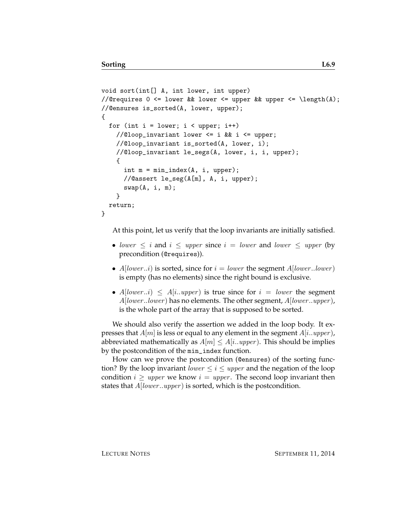```
void sort(int[] A, int lower, int upper)
//@requires 0 \leq lower && lower \leq upper && upper \leq \length(A);
//@ensures is_sorted(A, lower, upper);
{
  for (int i = lower; i < upper; i++)//@loop_invariant lower <= i && i <= upper;
   //@loop_invariant is_sorted(A, lower, i);
   //@loop_invariant le_segs(A, lower, i, i, upper);
    {
      int m = min_index(A, i, upper);//@assert le_seg(A[m], A, i, upper);
      swap(A, i, m);}
  return;
}
```
At this point, let us verify that the loop invariants are initially satisfied.

- lower  $\leq i$  and  $i \leq upper$  since  $i = lower$  and lower  $\leq upper$  (by precondition (@requires)).
- $A[lower..i)$  is sorted, since for  $i = lower$  the segment  $A[lower..lower]$ is empty (has no elements) since the right bound is exclusive.
- A[lower..i)  $\leq A[i..upper]$  is true since for  $i = lower$  the segment  $A[lower, lower]$  has no elements. The other segment,  $A[lower,upper]$ , is the whole part of the array that is supposed to be sorted.

We should also verify the assertion we added in the loop body. It expresses that  $A[m]$  is less or equal to any element in the segment  $A[i..upper]$ , abbreviated mathematically as  $A[m] \leq A[i..upper]$ . This should be implies by the postcondition of the min\_index function.

How can we prove the postcondition (@ensures) of the sorting function? By the loop invariant *lower*  $\leq i \leq upper$  and the negation of the loop condition  $i \geq upper$  we know  $i = upper$ . The second loop invariant then states that  $A[lower..upper)$  is sorted, which is the postcondition.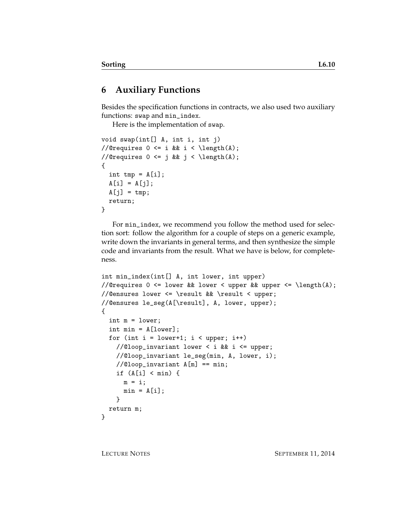### **6 Auxiliary Functions**

Besides the specification functions in contracts, we also used two auxiliary functions: swap and min\_index.

Here is the implementation of swap.

```
void swap(int[] A, int i, int j)
//@requires 0 \leq i && i \leq \operatorname{length}(A);
//@requires 0 \leq j && j \leq \operatorname{length}(A);
{
  int tmp = A[i];A[i] = A[j];A[j] = tmp;return;
}
```
For min\_index, we recommend you follow the method used for selection sort: follow the algorithm for a couple of steps on a generic example, write down the invariants in general terms, and then synthesize the simple code and invariants from the result. What we have is below, for completeness.

```
int min_index(int[] A, int lower, int upper)
//@requires 0 \leq lower && lower \leq upper && upper \leq \length(A);
//@ensures lower <= \result && \result < upper;
//@ensures le_seg(A[\result], A, lower, upper);
{
  int m = lower;
  int min = A[lower];
  for (int i = lower+1; i < upper; i+1)
    //@loop_invariant lower < i && i <= upper;
   //@loop_invariant le_seg(min, A, lower, i);
   //@loop_invariant A[m] == min;
   if (A[i] < min) {
     m = i;min = A[i];}
 return m;
}
```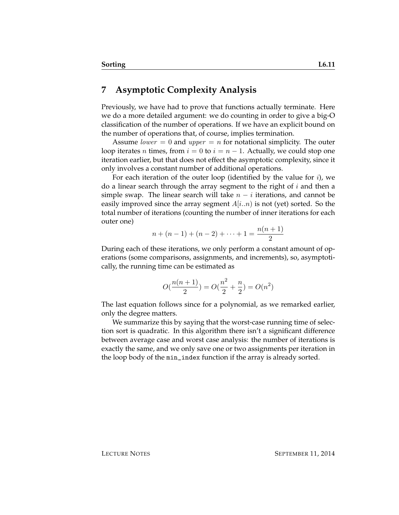#### **7 Asymptotic Complexity Analysis**

Previously, we have had to prove that functions actually terminate. Here we do a more detailed argument: we do counting in order to give a big-O classification of the number of operations. If we have an explicit bound on the number of operations that, of course, implies termination.

Assume *lower* = 0 and *upper* = *n* for notational simplicity. The outer loop iterates *n* times, from  $i = 0$  to  $i = n - 1$ . Actually, we could stop one iteration earlier, but that does not effect the asymptotic complexity, since it only involves a constant number of additional operations.

For each iteration of the outer loop (identified by the value for  $i$ ), we do a linear search through the array segment to the right of  $i$  and then a simple swap. The linear search will take  $n - i$  iterations, and cannot be easily improved since the array segment  $A[i..n]$  is not (yet) sorted. So the total number of iterations (counting the number of inner iterations for each outer one)

$$
n + (n - 1) + (n - 2) + \dots + 1 = \frac{n(n + 1)}{2}
$$

During each of these iterations, we only perform a constant amount of operations (some comparisons, assignments, and increments), so, asymptotically, the running time can be estimated as

$$
O(\frac{n(n+1)}{2}) = O(\frac{n^2}{2} + \frac{n}{2}) = O(n^2)
$$

The last equation follows since for a polynomial, as we remarked earlier, only the degree matters.

We summarize this by saying that the worst-case running time of selection sort is quadratic. In this algorithm there isn't a significant difference between average case and worst case analysis: the number of iterations is exactly the same, and we only save one or two assignments per iteration in the loop body of the min\_index function if the array is already sorted.